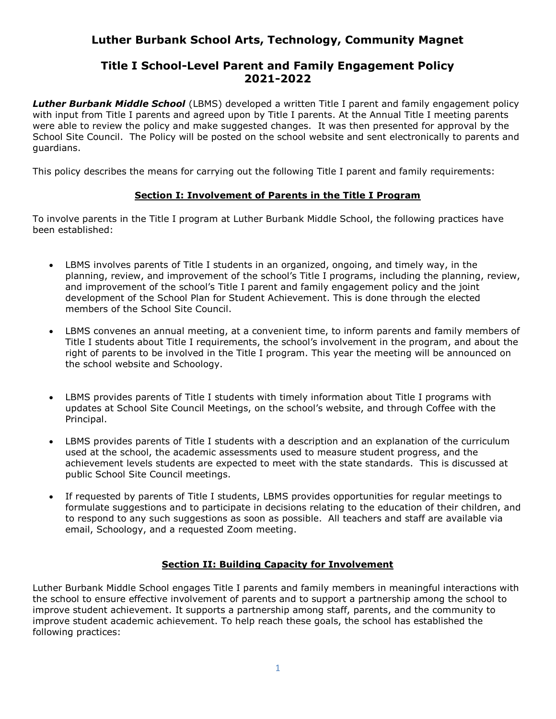# Luther Burbank School Arts, Technology, Community Magnet

## Title I School-Level Parent and Family Engagement Policy 2021-2022

**Luther Burbank Middle School** (LBMS) developed a written Title I parent and family engagement policy with input from Title I parents and agreed upon by Title I parents. At the Annual Title I meeting parents were able to review the policy and make suggested changes. It was then presented for approval by the School Site Council. The Policy will be posted on the school website and sent electronically to parents and guardians.

This policy describes the means for carrying out the following Title I parent and family requirements:

## Section I: Involvement of Parents in the Title I Program

To involve parents in the Title I program at Luther Burbank Middle School, the following practices have been established:

- LBMS involves parents of Title I students in an organized, ongoing, and timely way, in the planning, review, and improvement of the school's Title I programs, including the planning, review, and improvement of the school's Title I parent and family engagement policy and the joint development of the School Plan for Student Achievement. This is done through the elected members of the School Site Council.
- LBMS convenes an annual meeting, at a convenient time, to inform parents and family members of Title I students about Title I requirements, the school's involvement in the program, and about the right of parents to be involved in the Title I program. This year the meeting will be announced on the school website and Schoology.
- LBMS provides parents of Title I students with timely information about Title I programs with updates at School Site Council Meetings, on the school's website, and through Coffee with the Principal.
- LBMS provides parents of Title I students with a description and an explanation of the curriculum used at the school, the academic assessments used to measure student progress, and the achievement levels students are expected to meet with the state standards. This is discussed at public School Site Council meetings.
- If requested by parents of Title I students, LBMS provides opportunities for regular meetings to formulate suggestions and to participate in decisions relating to the education of their children, and to respond to any such suggestions as soon as possible. All teachers and staff are available via email, Schoology, and a requested Zoom meeting.

## Section II: Building Capacity for Involvement

Luther Burbank Middle School engages Title I parents and family members in meaningful interactions with the school to ensure effective involvement of parents and to support a partnership among the school to improve student achievement. It supports a partnership among staff, parents, and the community to improve student academic achievement. To help reach these goals, the school has established the following practices: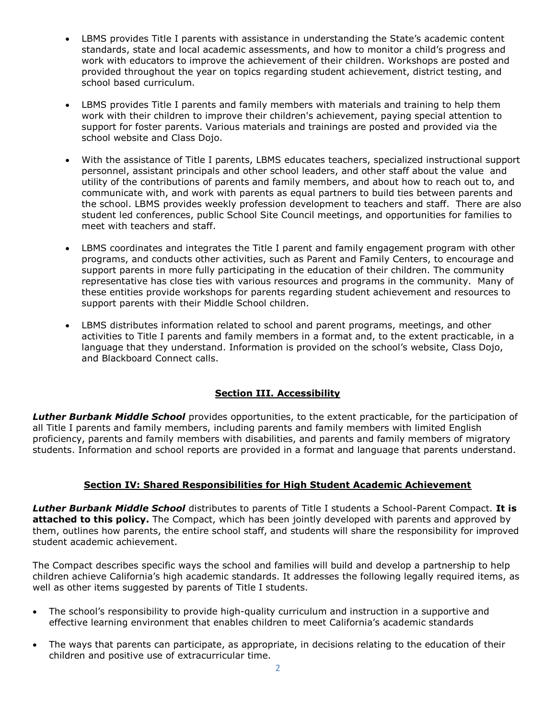- LBMS provides Title I parents with assistance in understanding the State's academic content standards, state and local academic assessments, and how to monitor a child's progress and work with educators to improve the achievement of their children. Workshops are posted and provided throughout the year on topics regarding student achievement, district testing, and school based curriculum.
- LBMS provides Title I parents and family members with materials and training to help them work with their children to improve their children's achievement, paying special attention to support for foster parents. Various materials and trainings are posted and provided via the school website and Class Dojo.
- With the assistance of Title I parents, LBMS educates teachers, specialized instructional support personnel, assistant principals and other school leaders, and other staff about the value and utility of the contributions of parents and family members, and about how to reach out to, and communicate with, and work with parents as equal partners to build ties between parents and the school. LBMS provides weekly profession development to teachers and staff. There are also student led conferences, public School Site Council meetings, and opportunities for families to meet with teachers and staff.
- LBMS coordinates and integrates the Title I parent and family engagement program with other programs, and conducts other activities, such as Parent and Family Centers, to encourage and support parents in more fully participating in the education of their children. The community representative has close ties with various resources and programs in the community. Many of these entities provide workshops for parents regarding student achievement and resources to support parents with their Middle School children.
- LBMS distributes information related to school and parent programs, meetings, and other activities to Title I parents and family members in a format and, to the extent practicable, in a language that they understand. Information is provided on the school's website, Class Dojo, and Blackboard Connect calls.

## **Section III. Accessibility**

Luther Burbank Middle School provides opportunities, to the extent practicable, for the participation of all Title I parents and family members, including parents and family members with limited English proficiency, parents and family members with disabilities, and parents and family members of migratory students. Information and school reports are provided in a format and language that parents understand.

## Section IV: Shared Responsibilities for High Student Academic Achievement

Luther Burbank Middle School distributes to parents of Title I students a School-Parent Compact. It is attached to this policy. The Compact, which has been jointly developed with parents and approved by them, outlines how parents, the entire school staff, and students will share the responsibility for improved student academic achievement.

The Compact describes specific ways the school and families will build and develop a partnership to help children achieve California's high academic standards. It addresses the following legally required items, as well as other items suggested by parents of Title I students.

- The school's responsibility to provide high-quality curriculum and instruction in a supportive and effective learning environment that enables children to meet California's academic standards
- The ways that parents can participate, as appropriate, in decisions relating to the education of their children and positive use of extracurricular time.